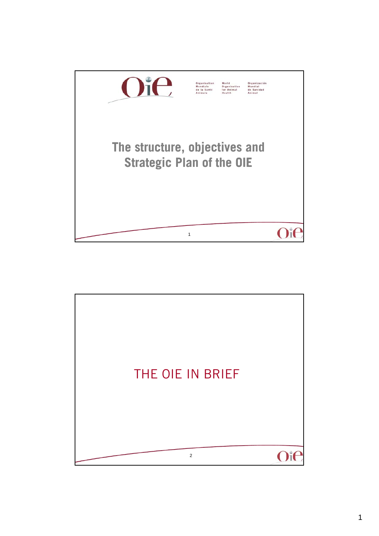

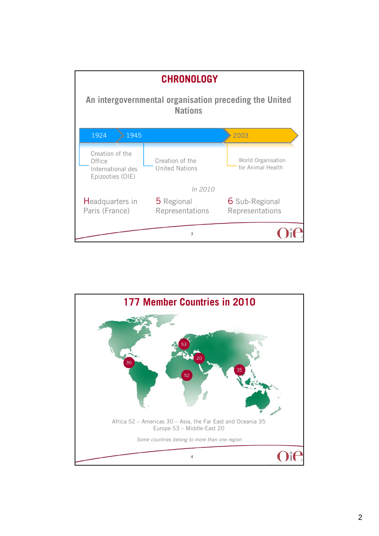

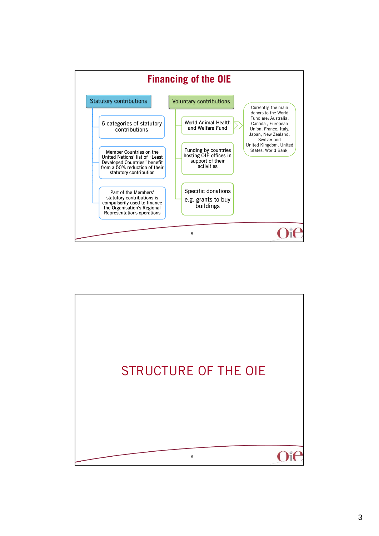

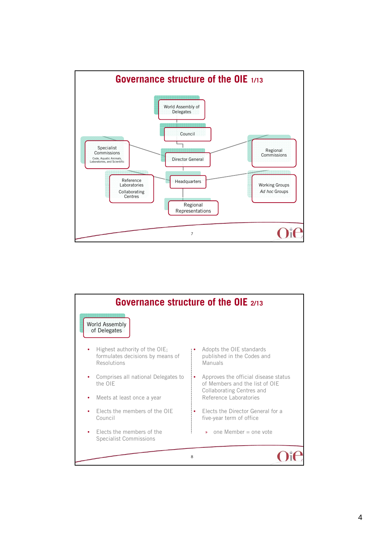

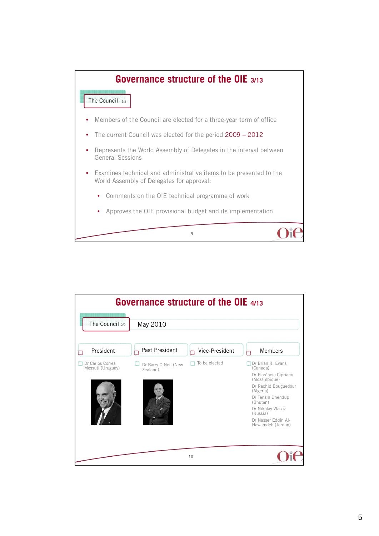

| <b>Governance structure of the OIE 4/13</b> |                                  |                |                                                                                                                                                                                                                           |  |  |
|---------------------------------------------|----------------------------------|----------------|---------------------------------------------------------------------------------------------------------------------------------------------------------------------------------------------------------------------------|--|--|
| The Council 2/2<br>May 2010                 |                                  |                |                                                                                                                                                                                                                           |  |  |
| President                                   | Past President                   | Vice-President | Members                                                                                                                                                                                                                   |  |  |
| Dr Carlos Correa<br>Messuti (Uruguay)       | Dr Barry O'Neil (New<br>Zealand) | To be elected  | Dr Brian R. Evans<br>(Canada)<br>Dr Florência Cipriano<br>(Mozambique)<br>Dr Rachid Bouguedour<br>(Algeria)<br>Dr Tenzin Dhendup<br>(Bhutan)<br>Dr Nikolay Vlasov<br>(Russia)<br>Dr Nasser Eddin Al-<br>Hawamdeh (Jordan) |  |  |
|                                             |                                  | 10             |                                                                                                                                                                                                                           |  |  |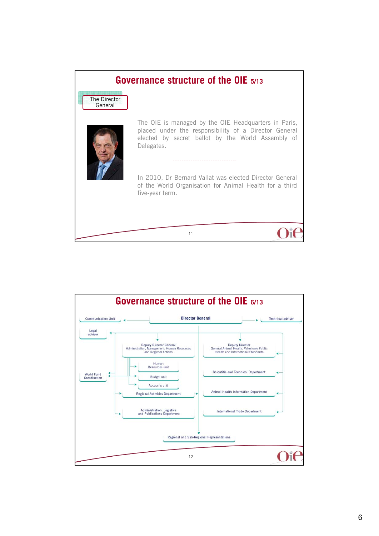

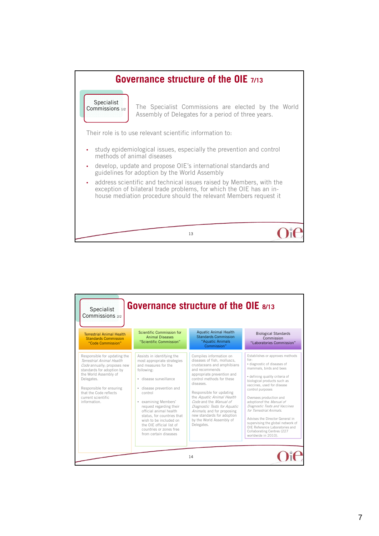

| <b>Governance structure of the OIE 8/13</b><br>Specialist<br>Commissions 2/2                                                                                                                                                                             |                                                                                                                                                                                                                                                                                                                                                                                       |                                                                                                                                                                                                                                                                                                                                                                                                                      |                                                                                                                                                                                                                                                                                                                                                                                                                                                                                                          |  |
|----------------------------------------------------------------------------------------------------------------------------------------------------------------------------------------------------------------------------------------------------------|---------------------------------------------------------------------------------------------------------------------------------------------------------------------------------------------------------------------------------------------------------------------------------------------------------------------------------------------------------------------------------------|----------------------------------------------------------------------------------------------------------------------------------------------------------------------------------------------------------------------------------------------------------------------------------------------------------------------------------------------------------------------------------------------------------------------|----------------------------------------------------------------------------------------------------------------------------------------------------------------------------------------------------------------------------------------------------------------------------------------------------------------------------------------------------------------------------------------------------------------------------------------------------------------------------------------------------------|--|
| <b>Terrestrial Animal Health</b><br><b>Standards Commission</b><br>"Code Commission"                                                                                                                                                                     | Scientific Commission for<br><b>Animal Diseases</b><br>"Scientific Commission"                                                                                                                                                                                                                                                                                                        | <b>Aquatic Animal Health</b><br><b>Standards Commission</b><br>"Aquatic Animals<br>Commission"                                                                                                                                                                                                                                                                                                                       | <b>Biological Standards</b><br>Commission<br>"Laboratories Commission"                                                                                                                                                                                                                                                                                                                                                                                                                                   |  |
| Responsible for updating the<br>Terrestrial Animal Health<br>Code annually; proposes new<br>standards for adoption by<br>the World Assembly of<br>Delegates.<br>Responsible for ensuring<br>that the Code reflects<br>current scientific<br>information. | Assists in identifying the<br>most appropriate strategies<br>and measures for the<br>following:<br>· disease surveillance<br>· disease prevention and<br>control<br>• examining Members'<br>request regarding their<br>official animal health<br>status, for countries that<br>wish to be included on<br>the OIF official list of<br>countries or zones free<br>from certain diseases | Compiles information on<br>diseases of fish, molluscs,<br>crustaceans and amphibians<br>and recommends<br>appropriate prevention and<br>control methods for these<br><i><b>PAPRAPIN</b></i><br>Responsible for updating<br>the Aquatic Animal Health<br>Code and the Manual of<br>Diagnostic Tests for Aquatic<br>Animals; and for proposing<br>new standards for adoption<br>by the World Assembly of<br>Delegates. | Establishes or approves methods<br>for:<br>· diagnostic of diseases of<br>mammals, birds and bees<br>· defining quality criteria of<br>biological products such as<br>vaccines, used for disease<br>control purposes<br>Oversees production and<br>adoption of the Manual of<br>Diagnostic Tests and Vaccines<br>for Terrestrial Animals.<br>Advises the Director General in<br>supervising the global network of<br>OIE Reference Laboratories and<br>Collaborating Centres (227<br>worldwide in 2010). |  |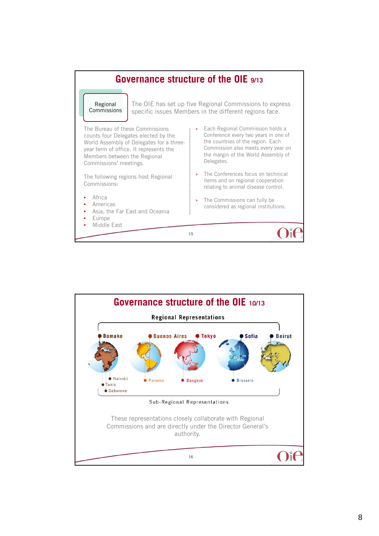

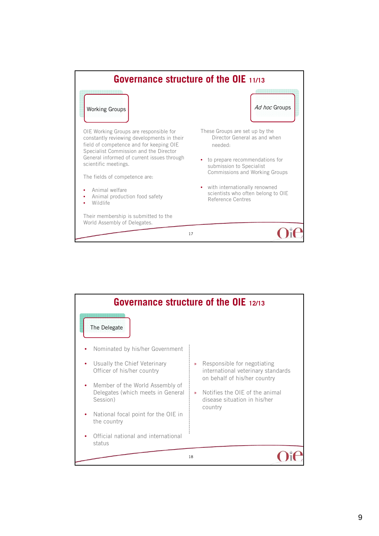

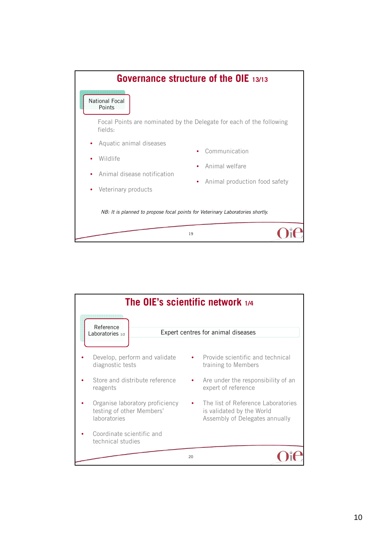

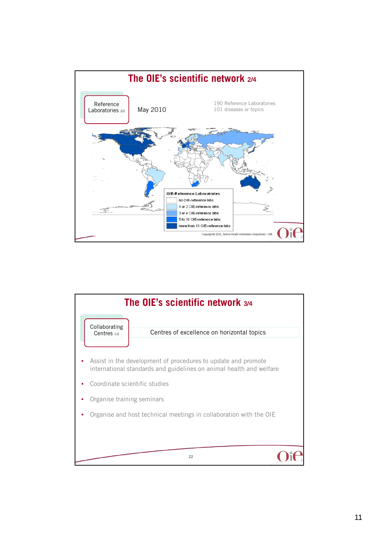

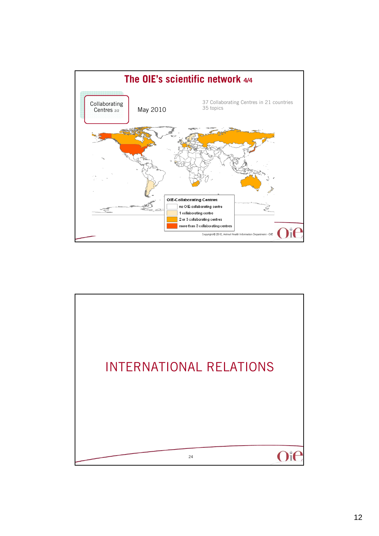

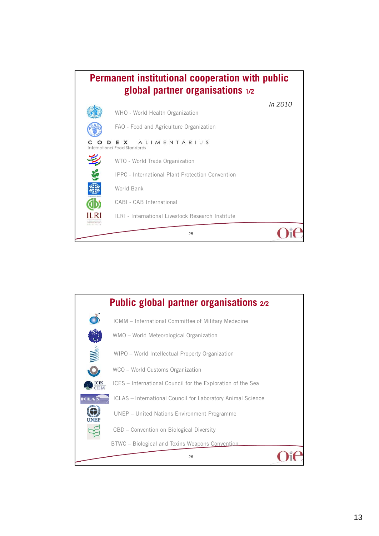

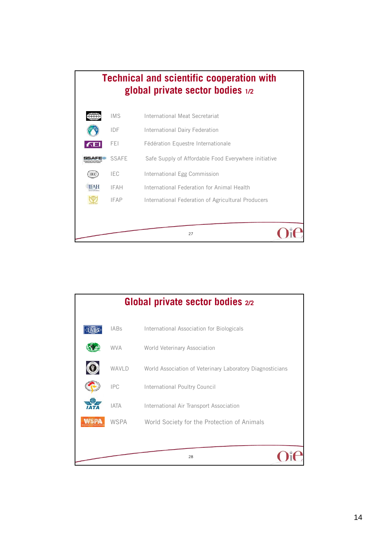

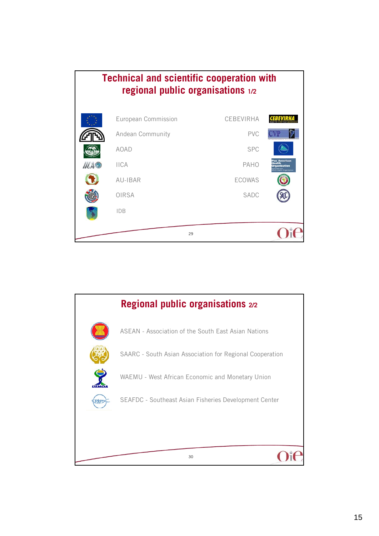

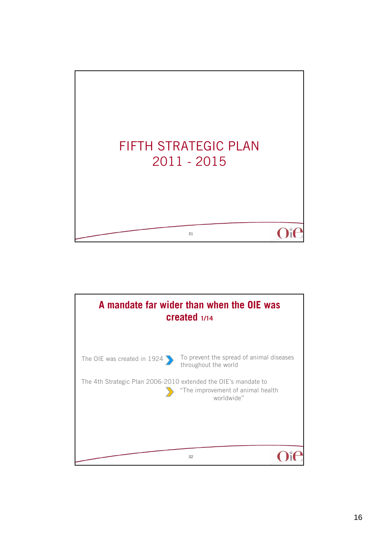

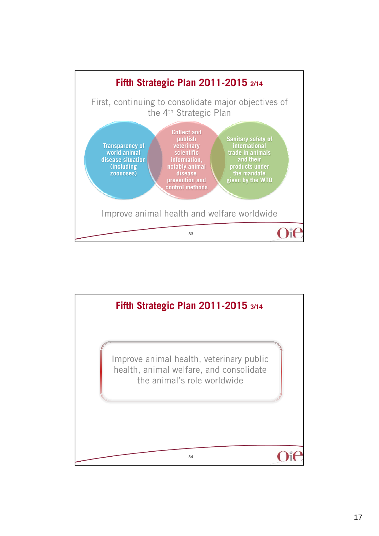

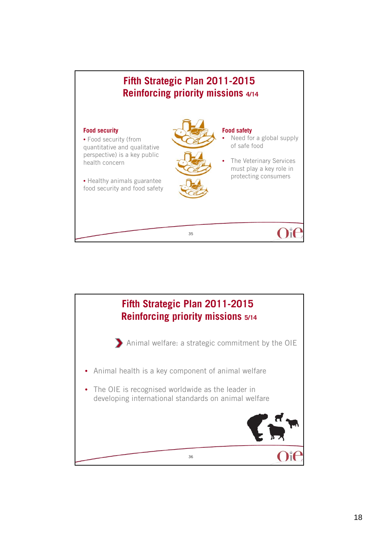

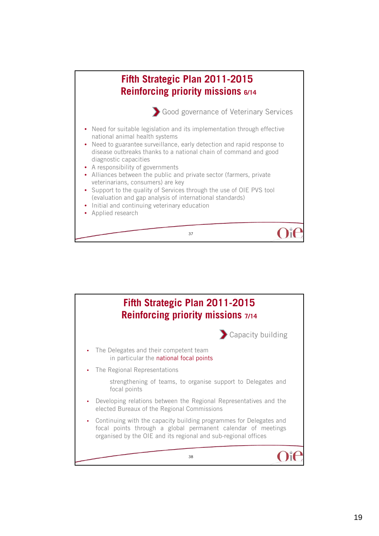

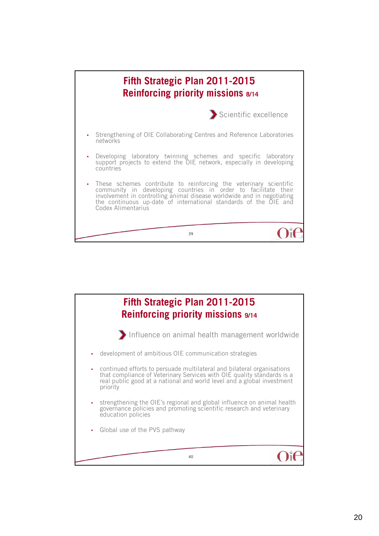

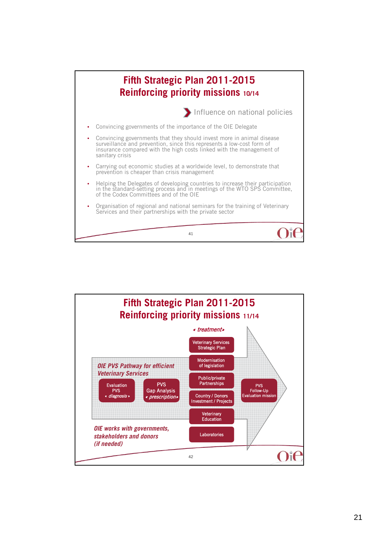

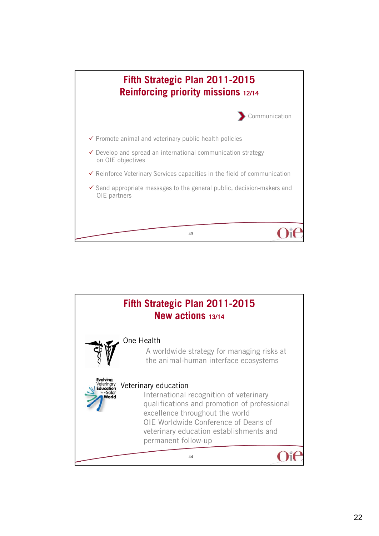

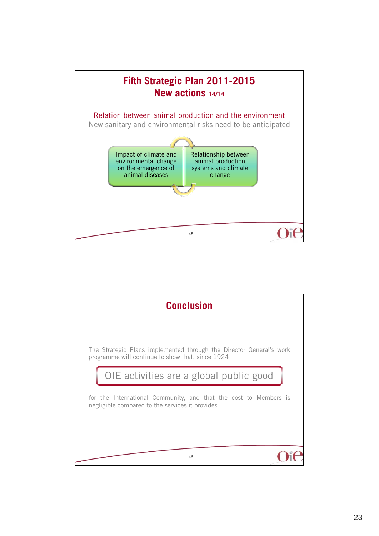

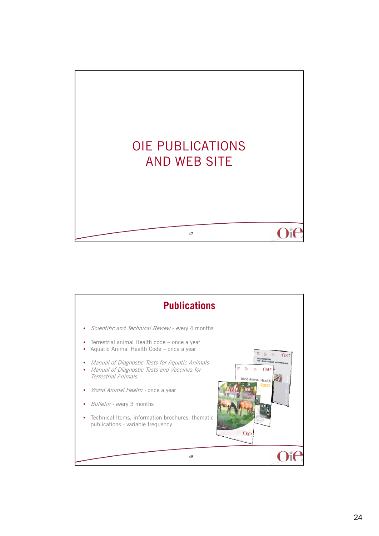